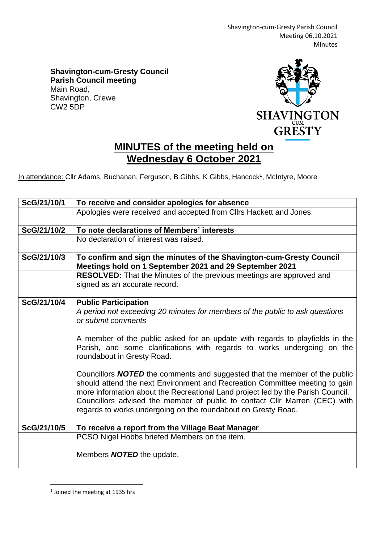Shavington-cum-Gresty Parish Council Meeting 06.10.2021 Minutes

**Shavington-cum-Gresty Council Parish Council meeting** Main Road, Shavington, Crewe CW2 5DP



## **MINUTES of the meeting held on Wednesday 6 October 2021**

In attendance: Cllr Adams, Buchanan, Ferguson, B Gibbs, K Gibbs, Hancock<sup>1</sup>, McIntyre, Moore

| ScG/21/10/1 | To receive and consider apologies for absence                                                                                                                                                                                                                                                                                                                                                      |
|-------------|----------------------------------------------------------------------------------------------------------------------------------------------------------------------------------------------------------------------------------------------------------------------------------------------------------------------------------------------------------------------------------------------------|
|             | Apologies were received and accepted from Cllrs Hackett and Jones.                                                                                                                                                                                                                                                                                                                                 |
| ScG/21/10/2 | To note declarations of Members' interests                                                                                                                                                                                                                                                                                                                                                         |
|             | No declaration of interest was raised.                                                                                                                                                                                                                                                                                                                                                             |
| ScG/21/10/3 | To confirm and sign the minutes of the Shavington-cum-Gresty Council<br>Meetings hold on 1 September 2021 and 29 September 2021                                                                                                                                                                                                                                                                    |
|             | RESOLVED: That the Minutes of the previous meetings are approved and<br>signed as an accurate record.                                                                                                                                                                                                                                                                                              |
| ScG/21/10/4 | <b>Public Participation</b>                                                                                                                                                                                                                                                                                                                                                                        |
|             | A period not exceeding 20 minutes for members of the public to ask questions<br>or submit comments                                                                                                                                                                                                                                                                                                 |
|             | A member of the public asked for an update with regards to playfields in the<br>Parish, and some clarifications with regards to works undergoing on the<br>roundabout in Gresty Road.                                                                                                                                                                                                              |
|             | Councillors <b>NOTED</b> the comments and suggested that the member of the public<br>should attend the next Environment and Recreation Committee meeting to gain<br>more information about the Recreational Land project led by the Parish Council.<br>Councillors advised the member of public to contact Cllr Marren (CEC) with<br>regards to works undergoing on the roundabout on Gresty Road. |
| ScG/21/10/5 | To receive a report from the Village Beat Manager                                                                                                                                                                                                                                                                                                                                                  |
|             | PCSO Nigel Hobbs briefed Members on the item.                                                                                                                                                                                                                                                                                                                                                      |
|             | Members <b>NOTED</b> the update.                                                                                                                                                                                                                                                                                                                                                                   |

<sup>&</sup>lt;sup>1</sup> Joined the meeting at 1935 hrs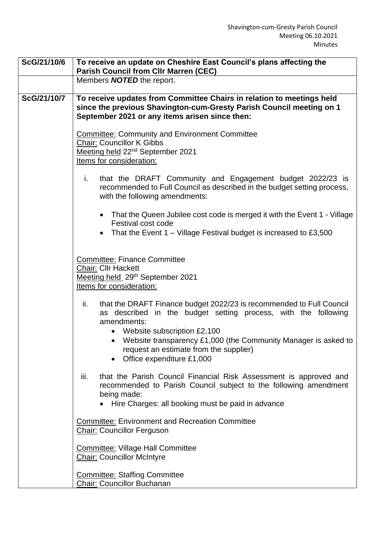| ScG/21/10/6 | To receive an update on Cheshire East Council's plans affecting the<br><b>Parish Council from Cllr Marren (CEC)</b>                                                                                                                                                                                                                         |
|-------------|---------------------------------------------------------------------------------------------------------------------------------------------------------------------------------------------------------------------------------------------------------------------------------------------------------------------------------------------|
|             | Members <b>NOTED</b> the report.                                                                                                                                                                                                                                                                                                            |
| ScG/21/10/7 | To receive updates from Committee Chairs in relation to meetings held<br>since the previous Shavington-cum-Gresty Parish Council meeting on 1<br>September 2021 or any items arisen since then:                                                                                                                                             |
|             | <b>Committee: Community and Environment Committee</b><br><b>Chair: Councillor K Gibbs</b><br>Meeting held 22 <sup>nd</sup> September 2021<br>Items for consideration:                                                                                                                                                                       |
|             | that the DRAFT Community and Engagement budget 2022/23 is<br>i.<br>recommended to Full Council as described in the budget setting process,<br>with the following amendments:                                                                                                                                                                |
|             | • That the Queen Jubilee cost code is merged it with the Event 1 - Village<br>Festival cost code<br>That the Event $1 -$ Village Festival budget is increased to £3,500<br>$\bullet$                                                                                                                                                        |
|             | <b>Committee: Finance Committee</b><br><b>Chair: Cllr Hackett</b><br>Meeting held 29th September 2021<br>Items for consideration:                                                                                                                                                                                                           |
|             | that the DRAFT Finance budget 2022/23 is recommended to Full Council<br>ii.<br>described in the budget setting process, with the following<br>as<br>amendments:<br>• Website subscription £2,100<br>• Website transparency £1,000 (the Community Manager is asked to<br>request an estimate from the supplier)<br>Office expenditure £1,000 |
|             | that the Parish Council Financial Risk Assessment is approved and<br>iii.<br>recommended to Parish Council subject to the following amendment<br>being made:<br>Hire Charges: all booking must be paid in advance                                                                                                                           |
|             | <b>Committee: Environment and Recreation Committee</b><br><b>Chair: Councillor Ferguson</b>                                                                                                                                                                                                                                                 |
|             | <b>Committee: Village Hall Committee</b><br><b>Chair: Councillor McIntyre</b>                                                                                                                                                                                                                                                               |
|             | <b>Committee: Staffing Committee</b><br><b>Chair: Councillor Buchanan</b>                                                                                                                                                                                                                                                                   |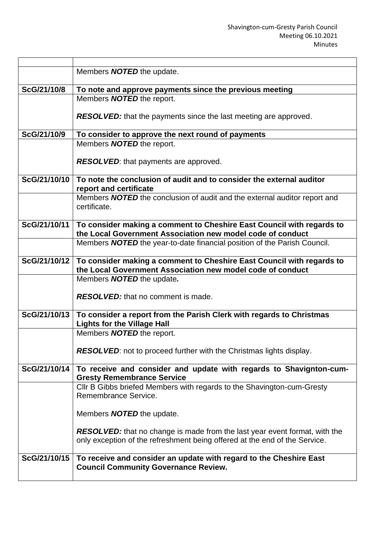|              | Members <b>NOTED</b> the update.                                                               |
|--------------|------------------------------------------------------------------------------------------------|
|              |                                                                                                |
| ScG/21/10/8  | To note and approve payments since the previous meeting                                        |
|              | Members <b>NOTED</b> the report.                                                               |
|              |                                                                                                |
|              | <b>RESOLVED:</b> that the payments since the last meeting are approved.                        |
|              |                                                                                                |
| ScG/21/10/9  | To consider to approve the next round of payments                                              |
|              | Members <b>NOTED</b> the report.                                                               |
|              |                                                                                                |
|              | <b>RESOLVED:</b> that payments are approved.                                                   |
|              |                                                                                                |
| ScG/21/10/10 | To note the conclusion of audit and to consider the external auditor                           |
|              | report and certificate                                                                         |
|              | Members <b>NOTED</b> the conclusion of audit and the external auditor report and               |
|              | certificate.                                                                                   |
|              |                                                                                                |
| ScG/21/10/11 | To consider making a comment to Cheshire East Council with regards to                          |
|              | the Local Government Association new model code of conduct                                     |
|              | Members <b>NOTED</b> the year-to-date financial position of the Parish Council.                |
| ScG/21/10/12 | To consider making a comment to Cheshire East Council with regards to                          |
|              | the Local Government Association new model code of conduct                                     |
|              | Members <b>NOTED</b> the update.                                                               |
|              |                                                                                                |
|              | <b>RESOLVED:</b> that no comment is made.                                                      |
|              |                                                                                                |
| ScG/21/10/13 | To consider a report from the Parish Clerk with regards to Christmas                           |
|              | <b>Lights for the Village Hall</b>                                                             |
|              | Members <b>NOTED</b> the report.                                                               |
|              |                                                                                                |
|              | <b>RESOLVED:</b> not to proceed further with the Christmas lights display.                     |
|              |                                                                                                |
| ScG/21/10/14 | To receive and consider and update with regards to Shavignton-cum-                             |
|              | <b>Gresty Remembrance Service</b>                                                              |
|              | CIIr B Gibbs briefed Members with regards to the Shavington-cum-Gresty<br>Remembrance Service. |
|              |                                                                                                |
|              | Members <b>NOTED</b> the update.                                                               |
|              |                                                                                                |
|              | <b>RESOLVED:</b> that no change is made from the last year event format, with the              |
|              | only exception of the refreshment being offered at the end of the Service.                     |
|              |                                                                                                |
| ScG/21/10/15 | To receive and consider an update with regard to the Cheshire East                             |
|              | <b>Council Community Governance Review.</b>                                                    |
|              |                                                                                                |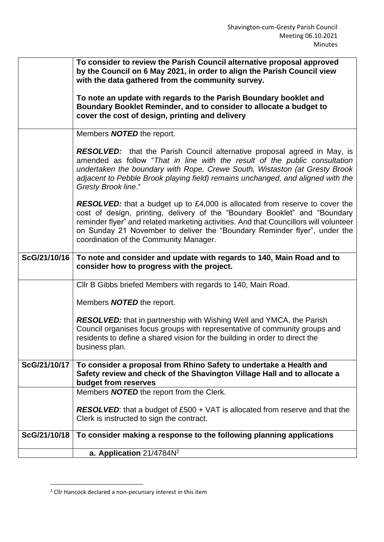|              | To consider to review the Parish Council alternative proposal approved<br>by the Council on 6 May 2021, in order to align the Parish Council view<br>with the data gathered from the community survey.                                                                                                                                                                           |
|--------------|----------------------------------------------------------------------------------------------------------------------------------------------------------------------------------------------------------------------------------------------------------------------------------------------------------------------------------------------------------------------------------|
|              | To note an update with regards to the Parish Boundary booklet and<br>Boundary Booklet Reminder, and to consider to allocate a budget to<br>cover the cost of design, printing and delivery                                                                                                                                                                                       |
|              | Members <b>NOTED</b> the report.                                                                                                                                                                                                                                                                                                                                                 |
|              | <b>RESOLVED:</b> that the Parish Council alternative proposal agreed in May, is<br>amended as follow "That in line with the result of the public consultation<br>undertaken the boundary with Rope, Crewe South, Wistaston (at Gresty Brook<br>adjacent to Pebble Brook playing field) remains unchanged, and aligned with the<br><b>Gresty Brook line."</b>                     |
|              | <b>RESOLVED:</b> that a budget up to £4,000 is allocated from reserve to cover the<br>cost of design, printing, delivery of the "Boundary Booklet" and "Boundary<br>reminder flyer" and related marketing activities. And that Councillors will volunteer<br>on Sunday 21 November to deliver the "Boundary Reminder flyer", under the<br>coordination of the Community Manager. |
| ScG/21/10/16 | To note and consider and update with regards to 140, Main Road and to<br>consider how to progress with the project.                                                                                                                                                                                                                                                              |
|              | CIIr B Gibbs briefed Members with regards to 140, Main Road.                                                                                                                                                                                                                                                                                                                     |
|              | Members <b>NOTED</b> the report.                                                                                                                                                                                                                                                                                                                                                 |
|              | <b>RESOLVED:</b> that in partnership with Wishing Well and YMCA, the Parish<br>Council organises focus groups with representative of community groups and<br>residents to define a shared vision for the building in order to direct the<br>business plan.                                                                                                                       |
| ScG/21/10/17 | To consider a proposal from Rhino Safety to undertake a Health and<br>Safety review and check of the Shavington Village Hall and to allocate a<br>budget from reserves                                                                                                                                                                                                           |
|              | Members <b>NOTED</b> the report from the Clerk.                                                                                                                                                                                                                                                                                                                                  |
|              | <b>RESOLVED:</b> that a budget of £500 + VAT is allocated from reserve and that the<br>Clerk is instructed to sign the contract.                                                                                                                                                                                                                                                 |
| ScG/21/10/18 | To consider making a response to the following planning applications                                                                                                                                                                                                                                                                                                             |
|              | a. Application 21/4784N <sup>2</sup>                                                                                                                                                                                                                                                                                                                                             |

 $2$  Cllr Hancock declared a non-pecuniary interest in this item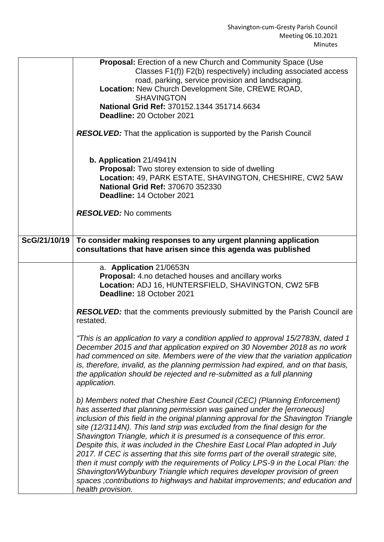|              | Proposal: Erection of a new Church and Community Space (Use<br>Classes F1(f)) F2(b) respectively) including associated access<br>road, parking, service provision and landscaping.<br>Location: New Church Development Site, CREWE ROAD,<br><b>SHAVINGTON</b><br>National Grid Ref: 370152.1344 351714.6634<br>Deadline: 20 October 2021<br><b>RESOLVED:</b> That the application is supported by the Parish Council<br>b. Application 21/4941N<br><b>Proposal:</b> Two storey extension to side of dwelling<br>Location: 49, PARK ESTATE, SHAVINGTON, CHESHIRE, CW2 5AW<br>National Grid Ref: 370670 352330<br>Deadline: 14 October 2021                                                                                                                                                                                                              |
|--------------|--------------------------------------------------------------------------------------------------------------------------------------------------------------------------------------------------------------------------------------------------------------------------------------------------------------------------------------------------------------------------------------------------------------------------------------------------------------------------------------------------------------------------------------------------------------------------------------------------------------------------------------------------------------------------------------------------------------------------------------------------------------------------------------------------------------------------------------------------------|
|              | <b>RESOLVED:</b> No comments                                                                                                                                                                                                                                                                                                                                                                                                                                                                                                                                                                                                                                                                                                                                                                                                                           |
| ScG/21/10/19 | To consider making responses to any urgent planning application<br>consultations that have arisen since this agenda was published                                                                                                                                                                                                                                                                                                                                                                                                                                                                                                                                                                                                                                                                                                                      |
|              | a. Application 21/0653N<br>Proposal: 4.no detached houses and ancillary works<br>Location: ADJ 16, HUNTERSFIELD, SHAVINGTON, CW2 5FB<br>Deadline: 18 October 2021                                                                                                                                                                                                                                                                                                                                                                                                                                                                                                                                                                                                                                                                                      |
|              | <b>RESOLVED:</b> that the comments previously submitted by the Parish Council are<br>restated.                                                                                                                                                                                                                                                                                                                                                                                                                                                                                                                                                                                                                                                                                                                                                         |
|              | "This is an application to vary a condition applied to approval 15/2783N, dated 1<br>December 2015 and that application expired on 30 November 2018 as no work<br>had commenced on site. Members were of the view that the variation application<br>is, therefore, invalid, as the planning permission had expired, and on that basis,<br>the application should be rejected and re-submitted as a full planning<br>application.                                                                                                                                                                                                                                                                                                                                                                                                                       |
|              | b) Members noted that Cheshire East Council (CEC) (Planning Enforcement)<br>has asserted that planning permission was gained under the [erroneous]<br>inclusion of this field in the original planning approval for the Shavington Triangle<br>site (12/3114N). This land strip was excluded from the final design for the<br>Shavington Triangle, which it is presumed is a consequence of this error.<br>Despite this, it was included in the Cheshire East Local Plan adopted in July<br>2017. If CEC is asserting that this site forms part of the overall strategic site,<br>then it must comply with the requirements of Policy LPS-9 in the Local Plan: the<br>Shavington/Wybunbury Triangle which requires developer provision of green<br>spaces ; contributions to highways and habitat improvements; and education and<br>health provision. |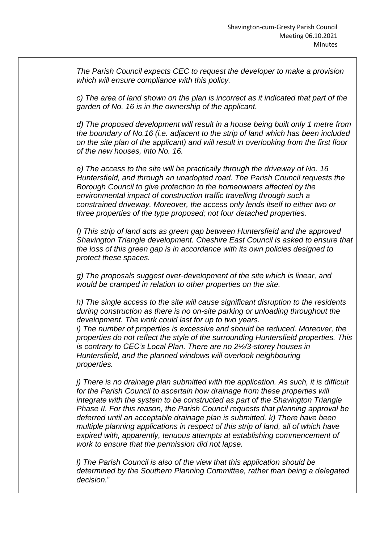*The Parish Council expects CEC to request the developer to make a provision which will ensure compliance with this policy.*

*c) The area of land shown on the plan is incorrect as it indicated that part of the garden of No. 16 is in the ownership of the applicant.*

*d) The proposed development will result in a house being built only 1 metre from the boundary of No.16 (i.e. adjacent to the strip of land which has been included on the site plan of the applicant) and will result in overlooking from the first floor of the new houses, into No. 16.*

*e) The access to the site will be practically through the driveway of No. 16 Huntersfield, and through an unadopted road. The Parish Council requests the Borough Council to give protection to the homeowners affected by the environmental impact of construction traffic travelling through such a constrained driveway. Moreover, the access only lends itself to either two or three properties of the type proposed; not four detached properties.*

*f) This strip of land acts as green gap between Huntersfield and the approved Shavington Triangle development. Cheshire East Council is asked to ensure that the loss of this green gap is in accordance with its own policies designed to protect these spaces.*

*g) The proposals suggest over-development of the site which is linear, and would be cramped in relation to other properties on the site.*

*h) The single access to the site will cause significant disruption to the residents during construction as there is no on-site parking or unloading throughout the development. The work could last for up to two years.*

*i)* The number of properties is excessive and should be reduced. Moreover, the *properties do not reflect the style of the surrounding Huntersfield properties. This is contrary to CEC's Local Plan. There are no 2½/3-storey houses in Huntersfield, and the planned windows will overlook neighbouring properties.*

*j)* There is no drainage plan submitted with the application. As such, it is difficult *for the Parish Council to ascertain how drainage from these properties will integrate with the system to be constructed as part of the Shavington Triangle Phase II. For this reason, the Parish Council requests that planning approval be deferred until an acceptable drainage plan is submitted. k) There have been multiple planning applications in respect of this strip of land, all of which have expired with, apparently, tenuous attempts at establishing commencement of work to ensure that the permission did not lapse.*

*l) The Parish Council is also of the view that this application should be determined by the Southern Planning Committee, rather than being a delegated decision.*"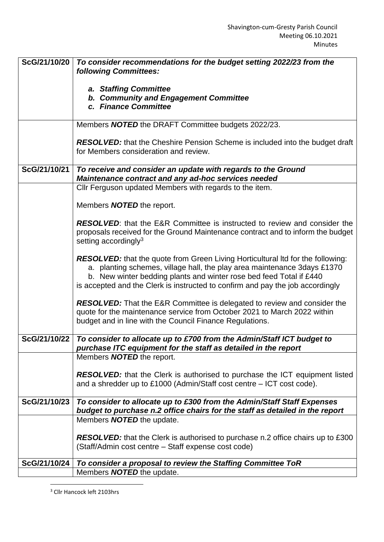| ScG/21/10/20 | To consider recommendations for the budget setting 2022/23 from the<br>following Committees:                                                                |
|--------------|-------------------------------------------------------------------------------------------------------------------------------------------------------------|
|              |                                                                                                                                                             |
|              | a. Staffing Committee                                                                                                                                       |
|              | b. Community and Engagement Committee<br>c. Finance Committee                                                                                               |
|              |                                                                                                                                                             |
|              | Members <b>NOTED</b> the DRAFT Committee budgets 2022/23.                                                                                                   |
|              | <b>RESOLVED:</b> that the Cheshire Pension Scheme is included into the budget draft                                                                         |
|              | for Members consideration and review.                                                                                                                       |
| ScG/21/10/21 | To receive and consider an update with regards to the Ground                                                                                                |
|              | Maintenance contract and any ad-hoc services needed                                                                                                         |
|              | Cllr Ferguson updated Members with regards to the item.                                                                                                     |
|              | Members <b>NOTED</b> the report.                                                                                                                            |
|              | <b>RESOLVED:</b> that the E&R Committee is instructed to review and consider the                                                                            |
|              | proposals received for the Ground Maintenance contract and to inform the budget                                                                             |
|              | setting accordingly <sup>3</sup>                                                                                                                            |
|              | <b>RESOLVED:</b> that the quote from Green Living Horticultural Itd for the following:                                                                      |
|              | a. planting schemes, village hall, the play area maintenance 3days £1370                                                                                    |
|              | b. New winter bedding plants and winter rose bed feed Total if £440<br>is accepted and the Clerk is instructed to confirm and pay the job accordingly       |
|              |                                                                                                                                                             |
|              | <b>RESOLVED:</b> That the E&R Committee is delegated to review and consider the<br>quote for the maintenance service from October 2021 to March 2022 within |
|              | budget and in line with the Council Finance Regulations.                                                                                                    |
| ScG/21/10/22 | To consider to allocate up to £700 from the Admin/Staff ICT budget to                                                                                       |
|              | purchase ITC equipment for the staff as detailed in the report                                                                                              |
|              | Members <b>NOTED</b> the report.                                                                                                                            |
|              | <b>RESOLVED:</b> that the Clerk is authorised to purchase the ICT equipment listed                                                                          |
|              | and a shredder up to £1000 (Admin/Staff cost centre – ICT cost code).                                                                                       |
| ScG/21/10/23 | To consider to allocate up to £300 from the Admin/Staff Staff Expenses                                                                                      |
|              | budget to purchase n.2 office chairs for the staff as detailed in the report                                                                                |
|              | Members <b>NOTED</b> the update.                                                                                                                            |
|              | <b>RESOLVED:</b> that the Clerk is authorised to purchase n.2 office chairs up to £300                                                                      |
|              | (Staff/Admin cost centre - Staff expense cost code)                                                                                                         |
| ScG/21/10/24 | To consider a proposal to review the Staffing Committee ToR                                                                                                 |
|              | Members <b>NOTED</b> the update.                                                                                                                            |

<sup>3</sup> Cllr Hancock left 2103hrs